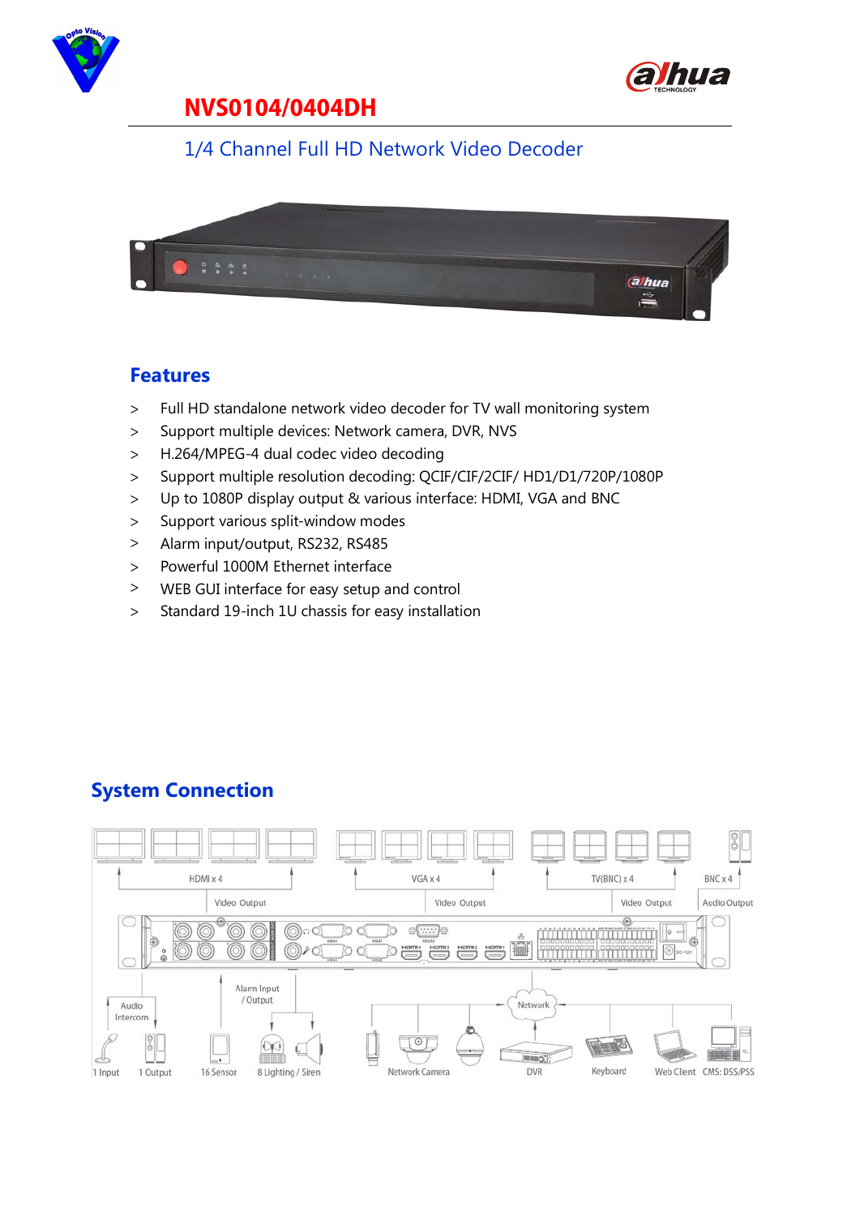



### 1/4 Channel Full HD Network Video Decoder



#### **Features**

- > Full HD standalone network video decoder for TV wall monitoring system
- > Support multiple devices: Network camera, DVR, NVS
- > H.264/MPEG-4 dual codec video decoding
- > Support multiple resolution decoding: QCIF/CIF/2CIF/ HD1/D1/720P/1080P
- > Up to 1080P display output & various interface: HDMI, VGA and BNC
- > Support various split-window modes
- > Alarm input/output, RS232, RS485
- > Powerful 1000M Ethernet interface
- > WEB GUI interface for easy setup and control
- > Standard 19-inch 1U chassis for easy installation

### **System Connection**